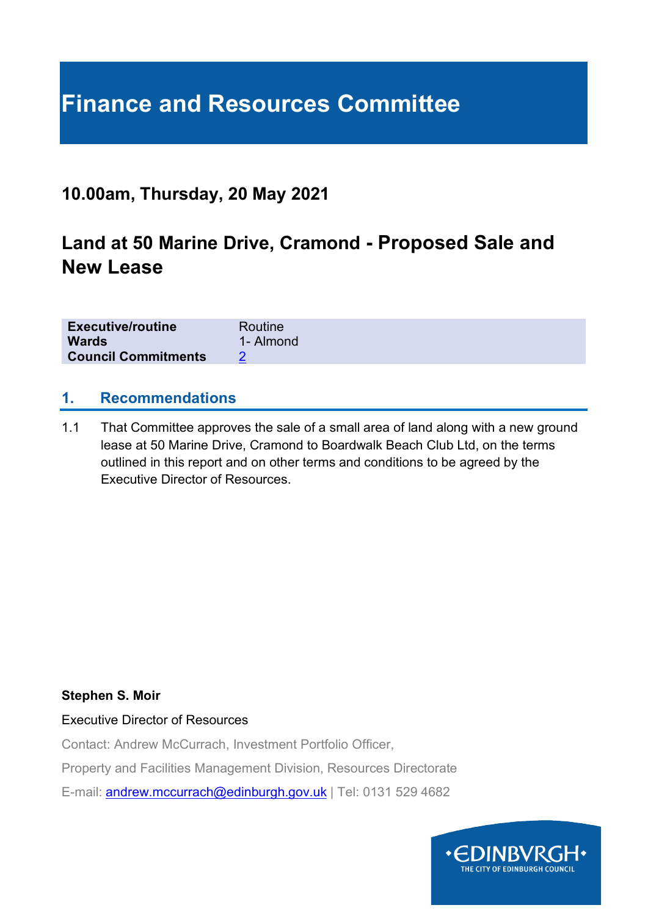# **Finance and Resources Committee**

### **10.00am, Thursday, 20 May 2021**

## **Land at 50 Marine Drive, Cramond - Proposed Sale and New Lease**

| <b>Executive/routine</b>   | Routine   |
|----------------------------|-----------|
| <b>Wards</b>               | 1- Almond |
| <b>Council Commitments</b> |           |

#### **1. Recommendations**

1.1 That Committee approves the sale of a small area of land along with a new ground lease at 50 Marine Drive, Cramond to Boardwalk Beach Club Ltd, on the terms outlined in this report and on other terms and conditions to be agreed by the Executive Director of Resources.

#### **Stephen S. Moir**

Executive Director of Resources

Contact: Andrew McCurrach, Investment Portfolio Officer,

Property and Facilities Management Division, Resources Directorate

E-mail: [andrew.mccurrach@edinburgh.gov.uk](mailto:andrew.mccurrach@edinburgh.gov.uk) | Tel: 0131 529 4682

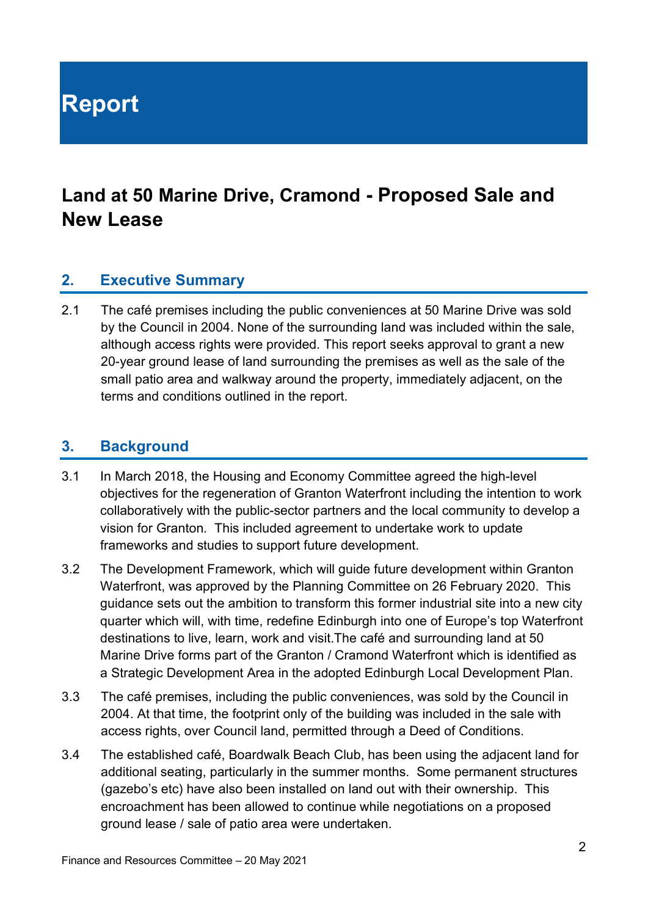**Report**

## **Land at 50 Marine Drive, Cramond - Proposed Sale and New Lease**

#### **2. Executive Summary**

2.1 The café premises including the public conveniences at 50 Marine Drive was sold by the Council in 2004. None of the surrounding land was included within the sale, although access rights were provided. This report seeks approval to grant a new 20-year ground lease of land surrounding the premises as well as the sale of the small patio area and walkway around the property, immediately adjacent, on the terms and conditions outlined in the report.

#### **3. Background**

- 3.1 In March 2018, the Housing and Economy Committee agreed the high-level objectives for the regeneration of Granton Waterfront including the intention to work collaboratively with the public-sector partners and the local community to develop a vision for Granton. This included agreement to undertake work to update frameworks and studies to support future development.
- 3.2 The Development Framework, which will guide future development within Granton Waterfront, was approved by the Planning Committee on 26 February 2020. This guidance sets out the ambition to transform this former industrial site into a new city quarter which will, with time, redefine Edinburgh into one of Europe's top Waterfront destinations to live, learn, work and visit.The café and surrounding land at 50 Marine Drive forms part of the Granton / Cramond Waterfront which is identified as a Strategic Development Area in the adopted Edinburgh Local Development Plan.
- 3.3 The café premises, including the public conveniences, was sold by the Council in 2004. At that time, the footprint only of the building was included in the sale with access rights, over Council land, permitted through a Deed of Conditions.
- 3.4 The established café, Boardwalk Beach Club, has been using the adjacent land for additional seating, particularly in the summer months. Some permanent structures (gazebo's etc) have also been installed on land out with their ownership. This encroachment has been allowed to continue while negotiations on a proposed ground lease / sale of patio area were undertaken.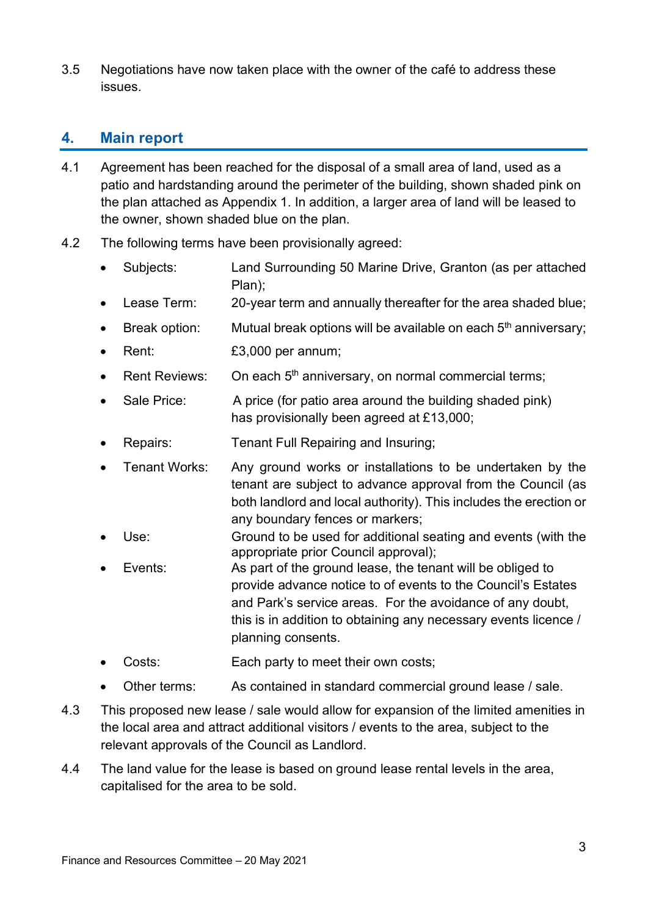3.5 Negotiations have now taken place with the owner of the café to address these issues.

#### **4. Main report**

- 4.1 Agreement has been reached for the disposal of a small area of land, used as a patio and hardstanding around the perimeter of the building, shown shaded pink on the plan attached as Appendix 1. In addition, a larger area of land will be leased to the owner, shown shaded blue on the plan.
- 4.2 The following terms have been provisionally agreed:
	- Subjects: Land Surrounding 50 Marine Drive, Granton (as per attached Plan);
	- Lease Term: 20-year term and annually thereafter for the area shaded blue;
	- Break option: Mutual break options will be available on each  $5<sup>th</sup>$  anniversary;
	- Rent: £3,000 per annum;
	- Rent Reviews: On each 5<sup>th</sup> anniversary, on normal commercial terms:
	- Sale Price: A price (for patio area around the building shaded pink) has provisionally been agreed at £13,000;
	- Repairs: Tenant Full Repairing and Insuring;
	- Tenant Works: Any ground works or installations to be undertaken by the tenant are subject to advance approval from the Council (as both landlord and local authority). This includes the erection or any boundary fences or markers;
	- Use: Ground to be used for additional seating and events (with the appropriate prior Council approval);
	- Events: As part of the ground lease, the tenant will be obliged to provide advance notice to of events to the Council's Estates and Park's service areas. For the avoidance of any doubt, this is in addition to obtaining any necessary events licence / planning consents.
	- Costs: Each party to meet their own costs;
	- Other terms: As contained in standard commercial ground lease / sale.
- 4.3 This proposed new lease / sale would allow for expansion of the limited amenities in the local area and attract additional visitors / events to the area, subject to the relevant approvals of the Council as Landlord.
- 4.4 The land value for the lease is based on ground lease rental levels in the area, capitalised for the area to be sold.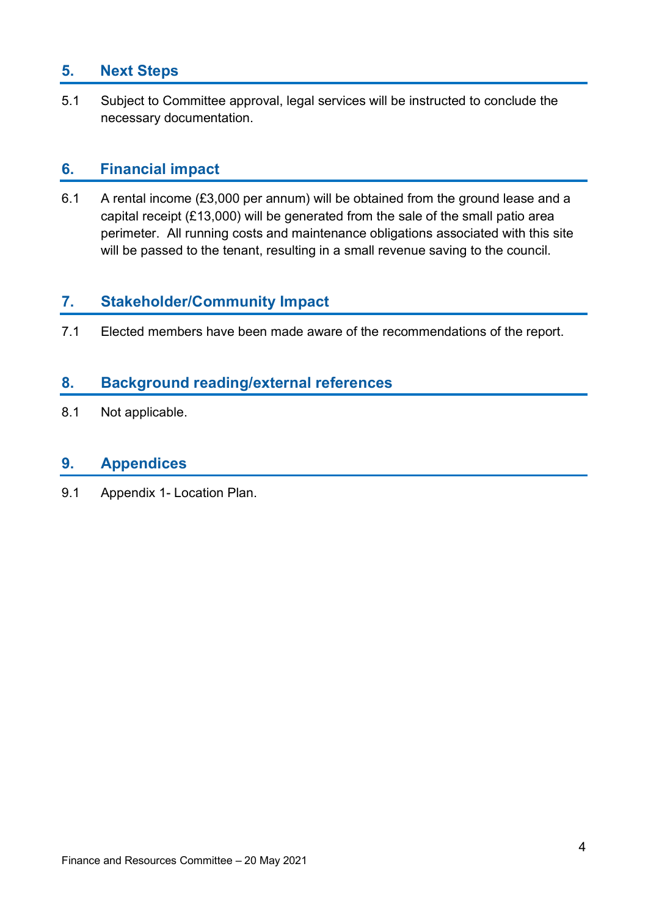#### **5. Next Steps**

5.1 Subject to Committee approval, legal services will be instructed to conclude the necessary documentation.

#### **6. Financial impact**

6.1 A rental income (£3,000 per annum) will be obtained from the ground lease and a capital receipt (£13,000) will be generated from the sale of the small patio area perimeter. All running costs and maintenance obligations associated with this site will be passed to the tenant, resulting in a small revenue saving to the council.

#### **7. Stakeholder/Community Impact**

7.1 Elected members have been made aware of the recommendations of the report.

#### **8. Background reading/external references**

8.1 Not applicable.

#### **9. Appendices**

9.1 Appendix 1- Location Plan.